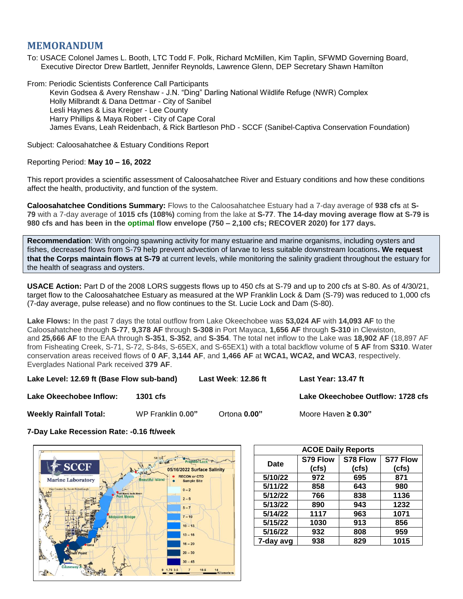# **MEMORANDUM**

To: USACE Colonel James L. Booth, LTC Todd F. Polk, Richard McMillen, Kim Taplin, SFWMD Governing Board, Executive Director Drew Bartlett, Jennifer Reynolds, Lawrence Glenn, DEP Secretary Shawn Hamilton

From: Periodic Scientists Conference Call Participants Kevin Godsea & Avery Renshaw - J.N. "Ding" Darling National Wildlife Refuge (NWR) Complex Holly Milbrandt & Dana Dettmar - City of Sanibel Lesli Haynes & Lisa Kreiger - Lee County Harry Phillips & Maya Robert - City of Cape Coral James Evans, Leah Reidenbach, & Rick Bartleson PhD - SCCF (Sanibel-Captiva Conservation Foundation)

Subject: Caloosahatchee & Estuary Conditions Report

## Reporting Period: **May 10 – 16, 2022**

This report provides a scientific assessment of Caloosahatchee River and Estuary conditions and how these conditions affect the health, productivity, and function of the system.

**Caloosahatchee Conditions Summary:** Flows to the Caloosahatchee Estuary had a 7-day average of **938 cfs** at **S-79** with a 7-day average of **1015 cfs (108%)** coming from the lake at **S-77**. **The 14-day moving average flow at S-79 is 980 cfs and has been in the optimal flow envelope (750 – 2,100 cfs; RECOVER 2020) for 177 days.**

**Recommendation**: With ongoing spawning activity for many estuarine and marine organisms, including oysters and fishes, decreased flows from S-79 help prevent advection of larvae to less suitable downstream locations**. We request that the Corps maintain flows at S-79** at current levels, while monitoring the salinity gradient throughout the estuary for the health of seagrass and oysters.

**USACE Action:** Part D of the 2008 LORS suggests flows up to 450 cfs at S-79 and up to 200 cfs at S-80. As of 4/30/21, target flow to the Caloosahatchee Estuary as measured at the WP Franklin Lock & Dam (S-79) was reduced to 1,000 cfs (7-day average, pulse release) and no flow continues to the St. Lucie Lock and Dam (S-80).

**Lake Flows:** In the past 7 days the total outflow from Lake Okeechobee was **53,024 AF** with **14,093 AF** to the Caloosahatchee through **S-77**, **9,378 AF** through **S-308** in Port Mayaca, **1,656 AF** through **S-310** in Clewiston, and **25,666 AF** to the EAA through **S-351**, **S-352**, and **S-354**. The total net inflow to the Lake was **18,902 AF** (18,897 AF from Fisheating Creek, S-71, S-72, S-84s, S-65EX, and S-65EX1) with a total backflow volume of **5 AF** from **S310**. Water conservation areas received flows of **0 AF**, **3,144 AF**, and **1,466 AF** at **WCA1, WCA2, and WCA3**, respectively. Everglades National Park received **379 AF**.

**Lake Level: 12.69 ft (Base Flow sub-band) Last Week**: **12.86 ft Last Year: 13.47 ft**

**Lake Okeechobee Inflow: 1301 cfs Lake Okeechobee Outflow: 1728 cfs**

**Weekly Rainfall Total:** WP Franklin **0.00"** Ortona **0.00"** Moore Haven **≥ 0.30"**

**7-Day Lake Recession Rate: -0.16 ft/week**



| <b>ACOE Daily Reports</b> |          |          |                 |  |  |  |
|---------------------------|----------|----------|-----------------|--|--|--|
| Date                      | S79 Flow | S78 Flow | <b>S77 Flow</b> |  |  |  |
|                           | (cfs)    | (cfs)    | (cfs)           |  |  |  |
| 5/10/22                   | 972      | 695      | 871             |  |  |  |
| 5/11/22                   | 858      | 643      | 980             |  |  |  |
| 5/12/22                   | 766      | 838      | 1136            |  |  |  |
| 5/13/22                   | 890      | 943      | 1232            |  |  |  |
| 5/14/22                   | 1117     | 963      | 1071            |  |  |  |
| 5/15/22                   | 1030     | 913      | 856             |  |  |  |
| 5/16/22                   | 932      | 808      | 959             |  |  |  |
| 7-day avg                 | 938      | 829      | 1015            |  |  |  |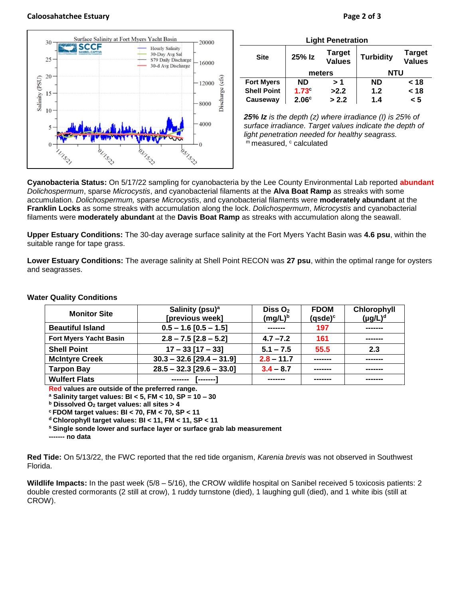### **Caloosahatchee Estuary Page 2 of 3**



| <b>Light Penetration</b> |                   |                                |                  |                                |  |  |  |
|--------------------------|-------------------|--------------------------------|------------------|--------------------------------|--|--|--|
| <b>Site</b>              | 25% Iz            | <b>Target</b><br><b>Values</b> | <b>Turbidity</b> | <b>Target</b><br><b>Values</b> |  |  |  |
|                          | meters            |                                | <b>NTU</b>       |                                |  |  |  |
| <b>Fort Myers</b>        | <b>ND</b>         | > 1                            | <b>ND</b>        | < 18                           |  |  |  |
| <b>Shell Point</b>       | $1.73^\circ$      | >2.2                           | 1.2              | < 18                           |  |  |  |
| Causeway                 | 2.06 <sup>c</sup> | > 2.2                          | 1.4              | 5 >                            |  |  |  |

*25% Iz is the depth (z) where irradiance (I) is 25% of surface irradiance. Target values indicate the depth of light penetration needed for healthy seagrass.* m measured, c calculated

**Cyanobacteria Status:** On 5/17/22 sampling for cyanobacteria by the Lee County Environmental Lab reported **abundant** *Dolichospermum*, sparse *Microcystis*, and cyanobacterial filaments at the **Alva Boat Ramp** as streaks with some accumulation. *Dolichospermum,* sparse *Microcystis*, and cyanobacterial filaments were **moderately abundant** at the **Franklin Locks** as some streaks with accumulation along the lock. *Dolichospermum*, *Microcystis* and cyanobacterial filaments were **moderately abundant** at the **Davis Boat Ramp** as streaks with accumulation along the seawall.

**Upper Estuary Conditions:** The 30-day average surface salinity at the Fort Myers Yacht Basin was **4.6 psu**, within the suitable range for tape grass.

**Lower Estuary Conditions:** The average salinity at Shell Point RECON was **27 psu**, within the optimal range for oysters and seagrasses.

| <b>Monitor Site</b>           | Salinity (psu) <sup>a</sup> | Diss $O2$    | <b>FDOM</b>         | Chlorophyll   |
|-------------------------------|-----------------------------|--------------|---------------------|---------------|
|                               | [previous week]             | $(mg/L)^b$   | (qsde) <sup>c</sup> | $(\mu g/L)^d$ |
| <b>Beautiful Island</b>       | $0.5 - 1.6 [0.5 - 1.5]$     |              | 197                 | -------       |
| <b>Fort Myers Yacht Basin</b> | $2.8 - 7.5$ [2.8 - 5.2]     | $4.7 - 7.2$  | 161                 | -------       |
| <b>Shell Point</b>            | $17 - 33$ [17 - 33]         | $5.1 - 7.5$  | 55.5                | 2.3           |
| <b>McIntyre Creek</b>         | $30.3 - 32.6$ [29.4 - 31.9] | $2.8 - 11.7$ | --------            | -------       |
| <b>Tarpon Bay</b>             | $28.5 - 32.3$ [29.6 - 33.0] | $3.4 - 8.7$  | -------             | -------       |
| <b>Wulfert Flats</b>          | --------                    | .            |                     | -------       |

#### **Water Quality Conditions**

**Red values are outside of the preferred range.**

**<sup>a</sup> Salinity target values: BI < 5, FM < 10, SP = 10 – 30**

**<sup>b</sup> Dissolved O<sup>2</sup> target values: all sites > 4**

**<sup>c</sup> FDOM target values: BI < 70, FM < 70, SP < 11**

**<sup>d</sup> Chlorophyll target values: BI < 11, FM < 11, SP < 11** 

**<sup>s</sup> Single sonde lower and surface layer or surface grab lab measurement**

**------- no data**

**Red Tide:** On 5/13/22, the FWC reported that the red tide organism, *Karenia brevis* was not observed in Southwest Florida.

**Wildlife Impacts:** In the past week (5/8 – 5/16), the CROW wildlife hospital on Sanibel received 5 toxicosis patients: 2 double crested cormorants (2 still at crow), 1 ruddy turnstone (died), 1 laughing gull (died), and 1 white ibis (still at CROW).